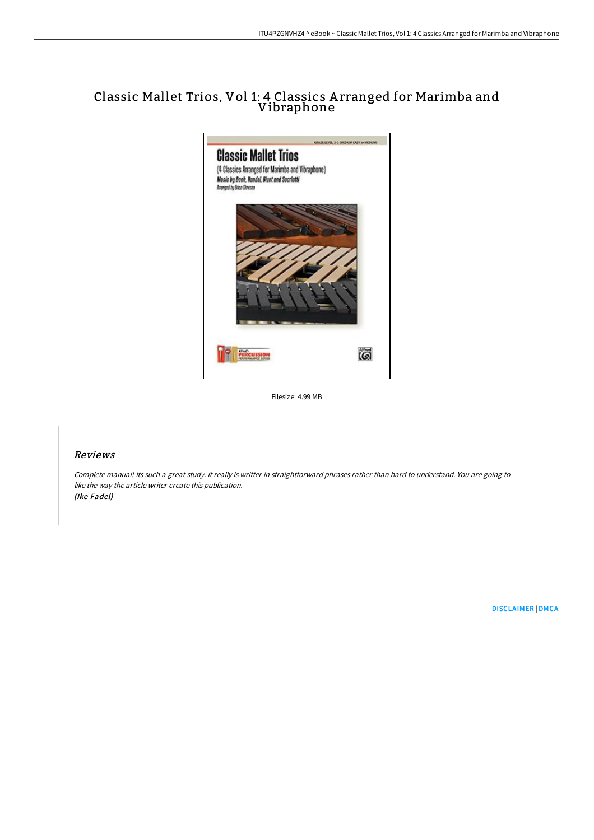## Classic Mallet Trios, Vol 1: 4 Classics A rranged for Marimba and Vibraphone



Filesize: 4.99 MB

## Reviews

Complete manual! Its such <sup>a</sup> great study. It really is writter in straightforward phrases rather than hard to understand. You are going to like the way the article writer create this publication. (Ike Fadel)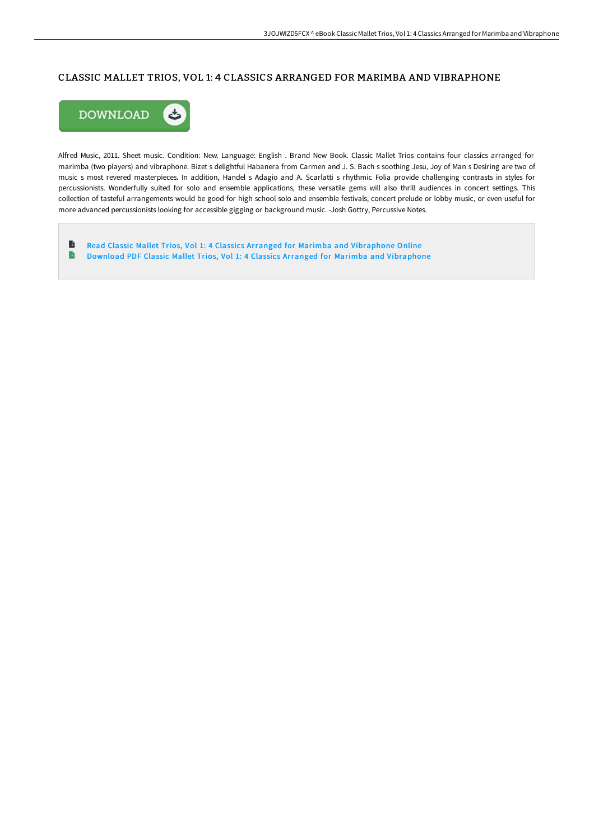### CLASSIC MALLET TRIOS, VOL 1: 4 CLASSICS ARRANGED FOR MARIMBA AND VIBRAPHONE



Alfred Music, 2011. Sheet music. Condition: New. Language: English . Brand New Book. Classic Mallet Trios contains four classics arranged for marimba (two players) and vibraphone. Bizet s delightful Habanera from Carmen and J. S. Bach s soothing Jesu, Joy of Man s Desiring are two of music s most revered masterpieces. In addition, Handel s Adagio and A. Scarlatti s rhythmic Folia provide challenging contrasts in styles for percussionists. Wonderfully suited for solo and ensemble applications, these versatile gems will also thrill audiences in concert settings. This collection of tasteful arrangements would be good for high school solo and ensemble festivals, concert prelude or lobby music, or even useful for more advanced percussionists looking for accessible gigging or background music. -Josh Gottry, Percussive Notes.

 $\blacksquare$ Read Classic Mallet Trios, Vol 1: 4 Classics Arranged for Marimba and [Vibraphone](http://albedo.media/classic-mallet-trios-vol-1-4-classics-arranged-f.html) Online  $\Rightarrow$ Download PDF Classic Mallet Trios, Vol 1: 4 Classics Arranged for Marimba and [Vibraphone](http://albedo.media/classic-mallet-trios-vol-1-4-classics-arranged-f.html)